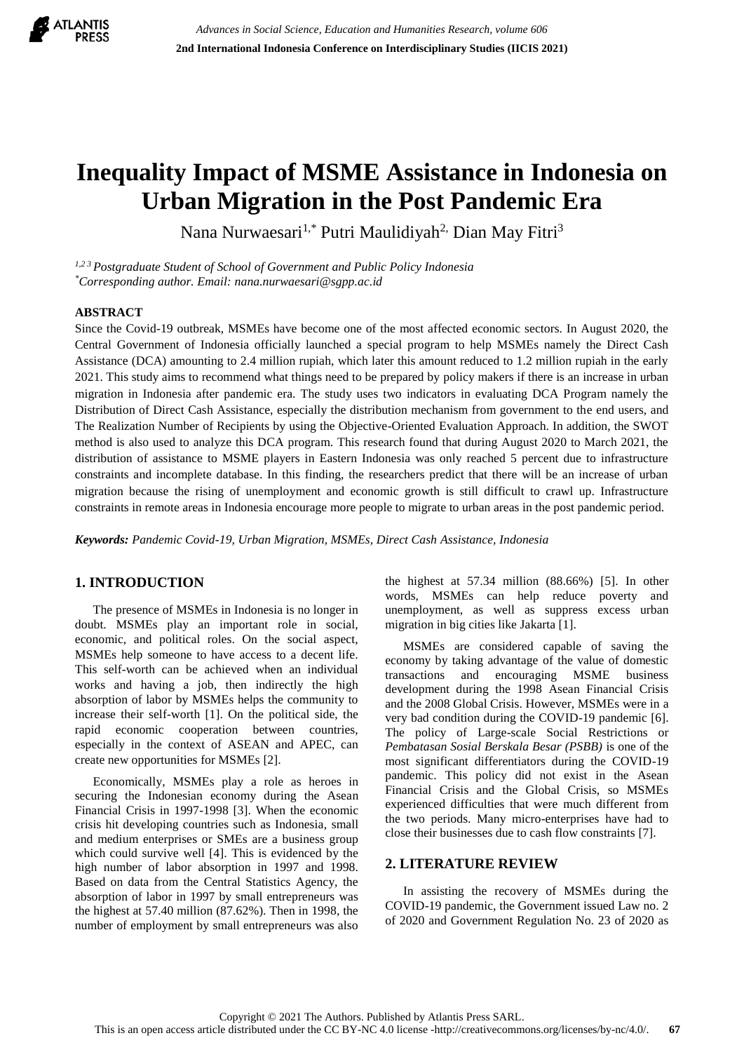

# **Inequality Impact of MSME Assistance in Indonesia on Urban Migration in the Post Pandemic Era**

Nana Nurwaesari<sup>1,\*</sup> Putri Maulidiyah<sup>2,</sup> Dian May Fitri<sup>3</sup>

*1,2 <sup>3</sup> Postgraduate Student of School of Government and Public Policy Indonesia \*Corresponding author. Email: nana.nurwaesari@sgpp.ac.id*

## **ABSTRACT**

Since the Covid-19 outbreak, MSMEs have become one of the most affected economic sectors. In August 2020, the Central Government of Indonesia officially launched a special program to help MSMEs namely the Direct Cash Assistance (DCA) amounting to 2.4 million rupiah, which later this amount reduced to 1.2 million rupiah in the early 2021. This study aims to recommend what things need to be prepared by policy makers if there is an increase in urban migration in Indonesia after pandemic era. The study uses two indicators in evaluating DCA Program namely the Distribution of Direct Cash Assistance, especially the distribution mechanism from government to the end users, and The Realization Number of Recipients by using the Objective-Oriented Evaluation Approach. In addition, the SWOT method is also used to analyze this DCA program. This research found that during August 2020 to March 2021, the distribution of assistance to MSME players in Eastern Indonesia was only reached 5 percent due to infrastructure constraints and incomplete database. In this finding, the researchers predict that there will be an increase of urban migration because the rising of unemployment and economic growth is still difficult to crawl up. Infrastructure constraints in remote areas in Indonesia encourage more people to migrate to urban areas in the post pandemic period.

*Keywords: Pandemic Covid-19, Urban Migration, MSMEs, Direct Cash Assistance, Indonesia*

# **1. INTRODUCTION**

The presence of MSMEs in Indonesia is no longer in doubt. MSMEs play an important role in social, economic, and political roles. On the social aspect, MSMEs help someone to have access to a decent life. This self-worth can be achieved when an individual works and having a job, then indirectly the high absorption of labor by MSMEs helps the community to increase their self-worth [1]. On the political side, the rapid economic cooperation between countries, especially in the context of ASEAN and APEC, can create new opportunities for MSMEs [2].

Economically, MSMEs play a role as heroes in securing the Indonesian economy during the Asean Financial Crisis in 1997-1998 [3]. When the economic crisis hit developing countries such as Indonesia, small and medium enterprises or SMEs are a business group which could survive well [4]. This is evidenced by the high number of labor absorption in 1997 and 1998. Based on data from the Central Statistics Agency, the absorption of labor in 1997 by small entrepreneurs was the highest at 57.40 million (87.62%). Then in 1998, the number of employment by small entrepreneurs was also the highest at 57.34 million (88.66%) [5]. In other words, MSMEs can help reduce poverty and unemployment, as well as suppress excess urban migration in big cities like Jakarta [1].

MSMEs are considered capable of saving the economy by taking advantage of the value of domestic transactions and encouraging MSME business development during the 1998 Asean Financial Crisis and the 2008 Global Crisis. However, MSMEs were in a very bad condition during the COVID-19 pandemic [6]. The policy of Large-scale Social Restrictions or *Pembatasan Sosial Berskala Besar (PSBB)* is one of the most significant differentiators during the COVID-19 pandemic. This policy did not exist in the Asean Financial Crisis and the Global Crisis, so MSMEs experienced difficulties that were much different from the two periods. Many micro-enterprises have had to close their businesses due to cash flow constraints [7].

## **2. LITERATURE REVIEW**

In assisting the recovery of MSMEs during the COVID-19 pandemic, the Government issued Law no. 2 of 2020 and Government Regulation No. 23 of 2020 as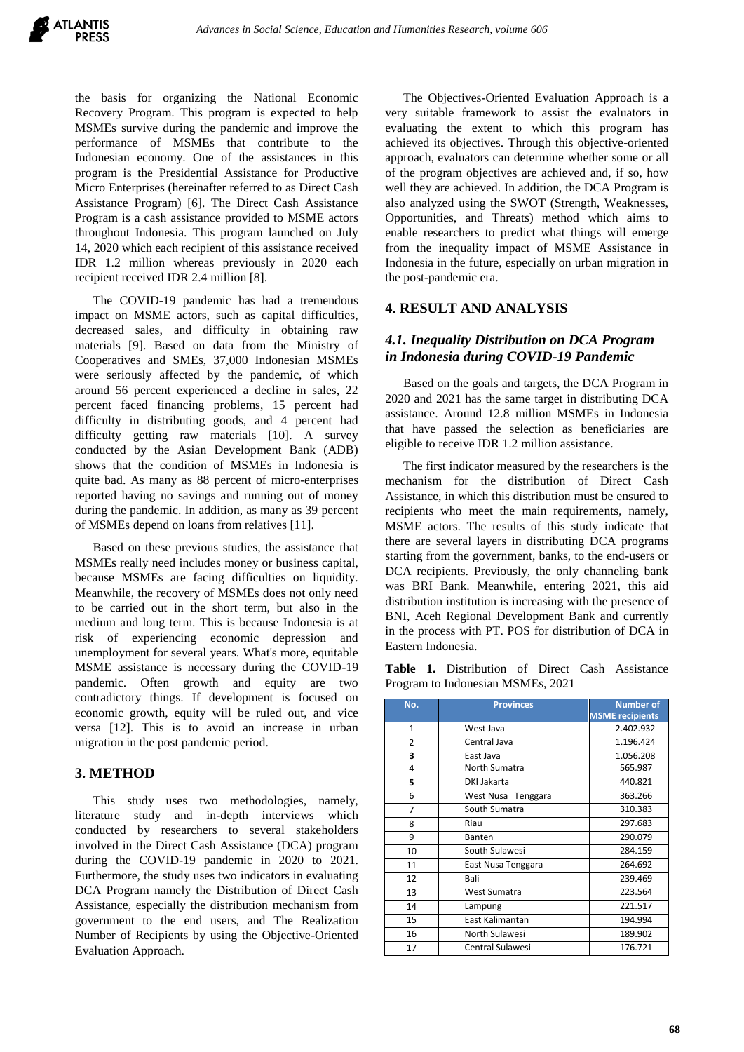

the basis for organizing the National Economic Recovery Program. This program is expected to help MSMEs survive during the pandemic and improve the performance of MSMEs that contribute to the Indonesian economy. One of the assistances in this program is the Presidential Assistance for Productive Micro Enterprises (hereinafter referred to as Direct Cash Assistance Program) [6]. The Direct Cash Assistance Program is a cash assistance provided to MSME actors throughout Indonesia. This program launched on July 14, 2020 which each recipient of this assistance received IDR 1.2 million whereas previously in 2020 each recipient received IDR 2.4 million [8].

The COVID-19 pandemic has had a tremendous impact on MSME actors, such as capital difficulties, decreased sales, and difficulty in obtaining raw materials [9]. Based on data from the Ministry of Cooperatives and SMEs, 37,000 Indonesian MSMEs were seriously affected by the pandemic, of which around 56 percent experienced a decline in sales, 22 percent faced financing problems, 15 percent had difficulty in distributing goods, and 4 percent had difficulty getting raw materials [10]. A survey conducted by the Asian Development Bank (ADB) shows that the condition of MSMEs in Indonesia is quite bad. As many as 88 percent of micro-enterprises reported having no savings and running out of money during the pandemic. In addition, as many as 39 percent of MSMEs depend on loans from relatives [11].

Based on these previous studies, the assistance that MSMEs really need includes money or business capital, because MSMEs are facing difficulties on liquidity. Meanwhile, the recovery of MSMEs does not only need to be carried out in the short term, but also in the medium and long term. This is because Indonesia is at risk of experiencing economic depression and unemployment for several years. What's more, equitable MSME assistance is necessary during the COVID-19 pandemic. Often growth and equity are two contradictory things. If development is focused on economic growth, equity will be ruled out, and vice versa [12]. This is to avoid an increase in urban migration in the post pandemic period.

## **3. METHOD**

This study uses two methodologies, namely, literature study and in-depth interviews which conducted by researchers to several stakeholders involved in the Direct Cash Assistance (DCA) program during the COVID-19 pandemic in 2020 to 2021. Furthermore, the study uses two indicators in evaluating DCA Program namely the Distribution of Direct Cash Assistance, especially the distribution mechanism from government to the end users, and The Realization Number of Recipients by using the Objective-Oriented Evaluation Approach.

The Objectives-Oriented Evaluation Approach is a very suitable framework to assist the evaluators in evaluating the extent to which this program has achieved its objectives. Through this objective-oriented approach, evaluators can determine whether some or all of the program objectives are achieved and, if so, how well they are achieved. In addition, the DCA Program is also analyzed using the SWOT (Strength, Weaknesses, Opportunities, and Threats) method which aims to enable researchers to predict what things will emerge from the inequality impact of MSME Assistance in Indonesia in the future, especially on urban migration in the post-pandemic era.

## **4. RESULT AND ANALYSIS**

# *4.1. Inequality Distribution on DCA Program in Indonesia during COVID-19 Pandemic*

Based on the goals and targets, the DCA Program in 2020 and 2021 has the same target in distributing DCA assistance. Around 12.8 million MSMEs in Indonesia that have passed the selection as beneficiaries are eligible to receive IDR 1.2 million assistance.

The first indicator measured by the researchers is the mechanism for the distribution of Direct Cash Assistance, in which this distribution must be ensured to recipients who meet the main requirements, namely, MSME actors. The results of this study indicate that there are several layers in distributing DCA programs starting from the government, banks, to the end-users or DCA recipients. Previously, the only channeling bank was BRI Bank. Meanwhile, entering 2021, this aid distribution institution is increasing with the presence of BNI, Aceh Regional Development Bank and currently in the process with PT. POS for distribution of DCA in Eastern Indonesia.

**Table 1.** Distribution of Direct Cash Assistance Program to Indonesian MSMEs, 2021

| No.            | <b>Provinces</b>   | <b>Number of</b>       |
|----------------|--------------------|------------------------|
|                |                    | <b>MSME</b> recipients |
| $\mathbf{1}$   | West Java          | 2.402.932              |
| $\overline{2}$ | Central Java       | 1.196.424              |
| 3              | East Java          | 1.056.208              |
| 4              | North Sumatra      | 565.987                |
| 5              | DKI Jakarta        | 440.821                |
| 6              | West Nusa Tenggara | 363.266                |
| 7              | South Sumatra      | 310.383                |
| 8              | Riau               | 297.683                |
| 9              | Banten             | 290.079                |
| 10             | South Sulawesi     | 284.159                |
| 11             | East Nusa Tenggara | 264.692                |
| 12             | Bali               | 239.469                |
| 13             | West Sumatra       | 223.564                |
| 14             | Lampung            | 221.517                |
| 15             | East Kalimantan    | 194.994                |
| 16             | North Sulawesi     | 189.902                |
| 17             | Central Sulawesi   | 176.721                |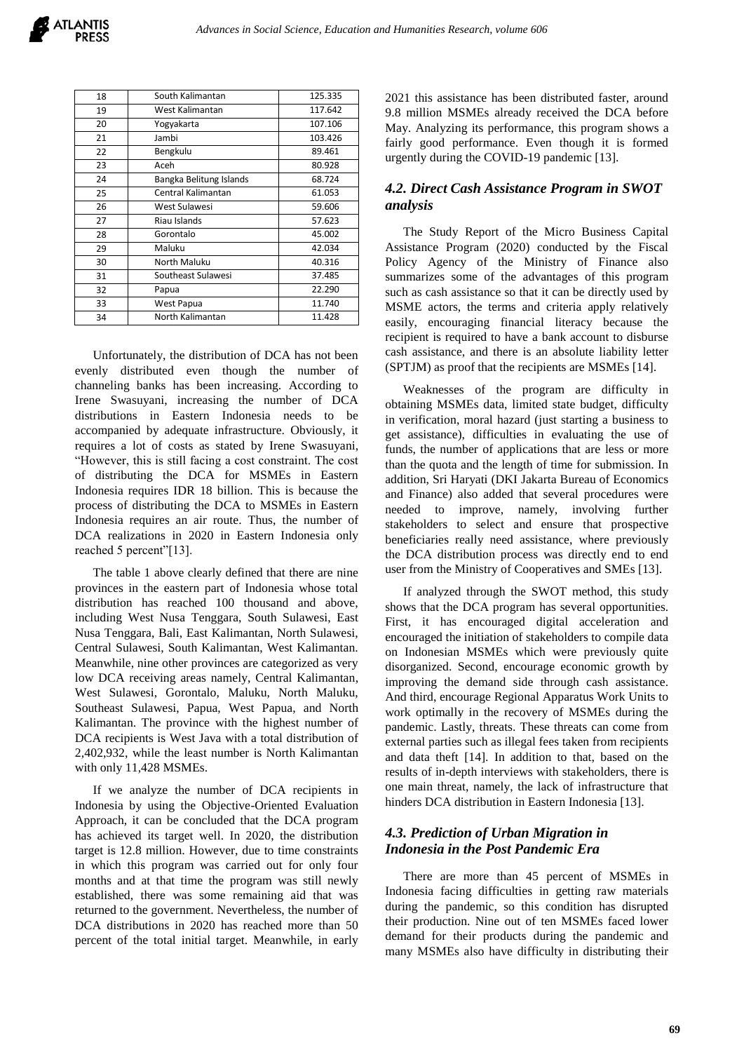| 18 | South Kalimantan        | 125.335 |
|----|-------------------------|---------|
| 19 | West Kalimantan         | 117.642 |
| 20 | Yogyakarta              | 107.106 |
| 21 | Jambi                   | 103.426 |
| 22 | Bengkulu                | 89.461  |
| 23 | Aceh                    | 80.928  |
| 24 | Bangka Belitung Islands | 68.724  |
| 25 | Central Kalimantan      | 61.053  |
| 26 | West Sulawesi           | 59.606  |
| 27 | Riau Islands            | 57.623  |
| 28 | Gorontalo               | 45.002  |
| 29 | Maluku                  | 42.034  |
| 30 | North Maluku            | 40.316  |
| 31 | Southeast Sulawesi      | 37.485  |
| 32 | Papua                   | 22.290  |
| 33 | West Papua              | 11.740  |
| 34 | North Kalimantan        | 11.428  |

Unfortunately, the distribution of DCA has not been evenly distributed even though the number of channeling banks has been increasing. According to Irene Swasuyani, increasing the number of DCA distributions in Eastern Indonesia needs to be accompanied by adequate infrastructure. Obviously, it requires a lot of costs as stated by Irene Swasuyani, "However, this is still facing a cost constraint. The cost of distributing the DCA for MSMEs in Eastern Indonesia requires IDR 18 billion. This is because the process of distributing the DCA to MSMEs in Eastern Indonesia requires an air route. Thus, the number of DCA realizations in 2020 in Eastern Indonesia only reached 5 percent"[13].

The table 1 above clearly defined that there are nine provinces in the eastern part of Indonesia whose total distribution has reached 100 thousand and above, including West Nusa Tenggara, South Sulawesi, East Nusa Tenggara, Bali, East Kalimantan, North Sulawesi, Central Sulawesi, South Kalimantan, West Kalimantan. Meanwhile, nine other provinces are categorized as very low DCA receiving areas namely, Central Kalimantan, West Sulawesi, Gorontalo, Maluku, North Maluku, Southeast Sulawesi, Papua, West Papua, and North Kalimantan. The province with the highest number of DCA recipients is West Java with a total distribution of 2,402,932, while the least number is North Kalimantan with only 11,428 MSMEs.

If we analyze the number of DCA recipients in Indonesia by using the Objective-Oriented Evaluation Approach, it can be concluded that the DCA program has achieved its target well. In 2020, the distribution target is 12.8 million. However, due to time constraints in which this program was carried out for only four months and at that time the program was still newly established, there was some remaining aid that was returned to the government. Nevertheless, the number of DCA distributions in 2020 has reached more than 50 percent of the total initial target. Meanwhile, in early

2021 this assistance has been distributed faster, around 9.8 million MSMEs already received the DCA before May. Analyzing its performance, this program shows a fairly good performance. Even though it is formed urgently during the COVID-19 pandemic [13].

# *4.2. Direct Cash Assistance Program in SWOT analysis*

The Study Report of the Micro Business Capital Assistance Program (2020) conducted by the Fiscal Policy Agency of the Ministry of Finance also summarizes some of the advantages of this program such as cash assistance so that it can be directly used by MSME actors, the terms and criteria apply relatively easily, encouraging financial literacy because the recipient is required to have a bank account to disburse cash assistance, and there is an absolute liability letter (SPTJM) as proof that the recipients are MSMEs [14].

Weaknesses of the program are difficulty in obtaining MSMEs data, limited state budget, difficulty in verification, moral hazard (just starting a business to get assistance), difficulties in evaluating the use of funds, the number of applications that are less or more than the quota and the length of time for submission. In addition, Sri Haryati (DKI Jakarta Bureau of Economics and Finance) also added that several procedures were needed to improve, namely, involving further stakeholders to select and ensure that prospective beneficiaries really need assistance, where previously the DCA distribution process was directly end to end user from the Ministry of Cooperatives and SMEs [13].

If analyzed through the SWOT method, this study shows that the DCA program has several opportunities. First, it has encouraged digital acceleration and encouraged the initiation of stakeholders to compile data on Indonesian MSMEs which were previously quite disorganized. Second, encourage economic growth by improving the demand side through cash assistance. And third, encourage Regional Apparatus Work Units to work optimally in the recovery of MSMEs during the pandemic. Lastly, threats. These threats can come from external parties such as illegal fees taken from recipients and data theft [14]. In addition to that, based on the results of in-depth interviews with stakeholders, there is one main threat, namely, the lack of infrastructure that hinders DCA distribution in Eastern Indonesia [13].

# *4.3. Prediction of Urban Migration in Indonesia in the Post Pandemic Era*

There are more than 45 percent of MSMEs in Indonesia facing difficulties in getting raw materials during the pandemic, so this condition has disrupted their production. Nine out of ten MSMEs faced lower demand for their products during the pandemic and many MSMEs also have difficulty in distributing their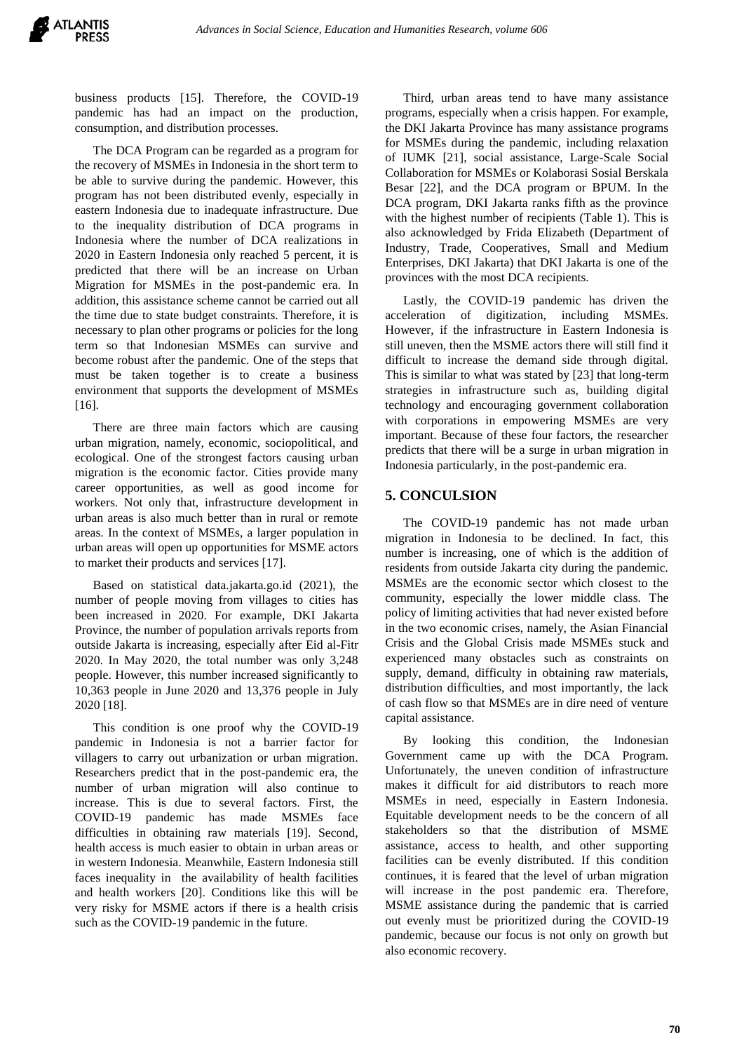business products [15]. Therefore, the COVID-19 pandemic has had an impact on the production, consumption, and distribution processes.

The DCA Program can be regarded as a program for the recovery of MSMEs in Indonesia in the short term to be able to survive during the pandemic. However, this program has not been distributed evenly, especially in eastern Indonesia due to inadequate infrastructure. Due to the inequality distribution of DCA programs in Indonesia where the number of DCA realizations in 2020 in Eastern Indonesia only reached 5 percent, it is predicted that there will be an increase on Urban Migration for MSMEs in the post-pandemic era. In addition, this assistance scheme cannot be carried out all the time due to state budget constraints. Therefore, it is necessary to plan other programs or policies for the long term so that Indonesian MSMEs can survive and become robust after the pandemic. One of the steps that must be taken together is to create a business environment that supports the development of MSMEs [16].

There are three main factors which are causing urban migration, namely, economic, sociopolitical, and ecological. One of the strongest factors causing urban migration is the economic factor. Cities provide many career opportunities, as well as good income for workers. Not only that, infrastructure development in urban areas is also much better than in rural or remote areas. In the context of MSMEs, a larger population in urban areas will open up opportunities for MSME actors to market their products and services [17].

Based on statistical data.jakarta.go.id (2021), the number of people moving from villages to cities has been increased in 2020. For example, DKI Jakarta Province, the number of population arrivals reports from outside Jakarta is increasing, especially after Eid al-Fitr 2020. In May 2020, the total number was only 3,248 people. However, this number increased significantly to 10,363 people in June 2020 and 13,376 people in July 2020 [18].

This condition is one proof why the COVID-19 pandemic in Indonesia is not a barrier factor for villagers to carry out urbanization or urban migration. Researchers predict that in the post-pandemic era, the number of urban migration will also continue to increase. This is due to several factors. First, the COVID-19 pandemic has made MSMEs face difficulties in obtaining raw materials [19]. Second, health access is much easier to obtain in urban areas or in western Indonesia. Meanwhile, Eastern Indonesia still faces inequality in the availability of health facilities and health workers [20]. Conditions like this will be very risky for MSME actors if there is a health crisis such as the COVID-19 pandemic in the future.

Third, urban areas tend to have many assistance programs, especially when a crisis happen. For example, the DKI Jakarta Province has many assistance programs for MSMEs during the pandemic, including relaxation of IUMK [21], social assistance, Large-Scale Social Collaboration for MSMEs or Kolaborasi Sosial Berskala Besar [22], and the DCA program or BPUM. In the DCA program, DKI Jakarta ranks fifth as the province with the highest number of recipients (Table 1). This is also acknowledged by Frida Elizabeth (Department of Industry, Trade, Cooperatives, Small and Medium Enterprises, DKI Jakarta) that DKI Jakarta is one of the provinces with the most DCA recipients.

Lastly, the COVID-19 pandemic has driven the acceleration of digitization, including MSMEs. However, if the infrastructure in Eastern Indonesia is still uneven, then the MSME actors there will still find it difficult to increase the demand side through digital. This is similar to what was stated by [23] that long-term strategies in infrastructure such as, building digital technology and encouraging government collaboration with corporations in empowering MSMEs are very important. Because of these four factors, the researcher predicts that there will be a surge in urban migration in Indonesia particularly, in the post-pandemic era.

# **5. CONCULSION**

The COVID-19 pandemic has not made urban migration in Indonesia to be declined. In fact, this number is increasing, one of which is the addition of residents from outside Jakarta city during the pandemic. MSMEs are the economic sector which closest to the community, especially the lower middle class. The policy of limiting activities that had never existed before in the two economic crises, namely, the Asian Financial Crisis and the Global Crisis made MSMEs stuck and experienced many obstacles such as constraints on supply, demand, difficulty in obtaining raw materials, distribution difficulties, and most importantly, the lack of cash flow so that MSMEs are in dire need of venture capital assistance.

By looking this condition, the Indonesian Government came up with the DCA Program. Unfortunately, the uneven condition of infrastructure makes it difficult for aid distributors to reach more MSMEs in need, especially in Eastern Indonesia. Equitable development needs to be the concern of all stakeholders so that the distribution of MSME assistance, access to health, and other supporting facilities can be evenly distributed. If this condition continues, it is feared that the level of urban migration will increase in the post pandemic era. Therefore, MSME assistance during the pandemic that is carried out evenly must be prioritized during the COVID-19 pandemic, because our focus is not only on growth but also economic recovery.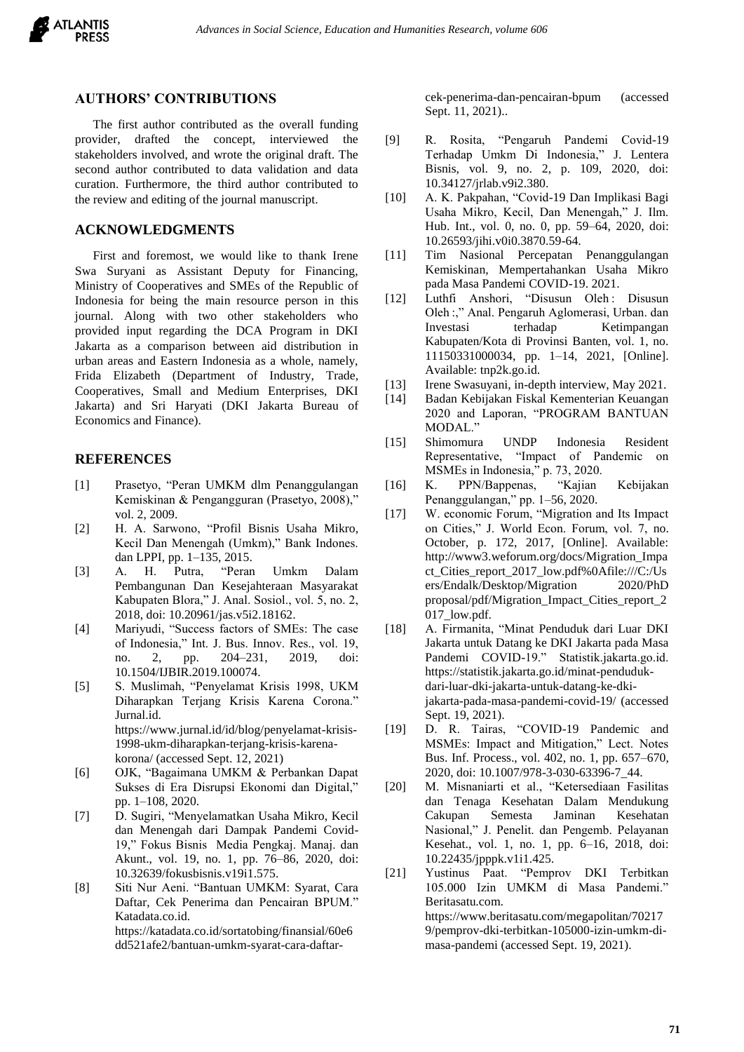

## **AUTHORS' CONTRIBUTIONS**

The first author contributed as the overall funding provider, drafted the concept, interviewed the stakeholders involved, and wrote the original draft. The second author contributed to data validation and data curation. Furthermore, the third author contributed to the review and editing of the journal manuscript.

## **ACKNOWLEDGMENTS**

First and foremost, we would like to thank Irene Swa Suryani as Assistant Deputy for Financing, Ministry of Cooperatives and SMEs of the Republic of Indonesia for being the main resource person in this journal. Along with two other stakeholders who provided input regarding the DCA Program in DKI Jakarta as a comparison between aid distribution in urban areas and Eastern Indonesia as a whole, namely, Frida Elizabeth (Department of Industry, Trade, Cooperatives, Small and Medium Enterprises, DKI Jakarta) and Sri Haryati (DKI Jakarta Bureau of Economics and Finance).

### **REFERENCES**

- [1] Prasetyo, "Peran UMKM dlm Penanggulangan Kemiskinan & Pengangguran (Prasetyo, 2008)," vol. 2, 2009.
- [2] H. A. Sarwono, "Profil Bisnis Usaha Mikro, Kecil Dan Menengah (Umkm)," Bank Indones. dan LPPI, pp. 1–135, 2015.
- [3] A. H. Putra, "Peran Umkm Dalam Pembangunan Dan Kesejahteraan Masyarakat Kabupaten Blora," J. Anal. Sosiol., vol. 5, no. 2, 2018, doi: 10.20961/jas.v5i2.18162.
- [4] Mariyudi, "Success factors of SMEs: The case of Indonesia," Int. J. Bus. Innov. Res., vol. 19, no. 2, pp. 204–231, 2019, doi: 10.1504/IJBIR.2019.100074.
- [5] S. Muslimah, "Penyelamat Krisis 1998, UKM Diharapkan Terjang Krisis Karena Corona." Jurnal.id. https://www.jurnal.id/id/blog/penyelamat-krisis-1998-ukm-diharapkan-terjang-krisis-karenakorona/ (accessed Sept. 12, 2021)
- [6] OJK, "Bagaimana UMKM & Perbankan Dapat Sukses di Era Disrupsi Ekonomi dan Digital," pp. 1–108, 2020.
- [7] D. Sugiri, "Menyelamatkan Usaha Mikro, Kecil dan Menengah dari Dampak Pandemi Covid-19," Fokus Bisnis Media Pengkaj. Manaj. dan Akunt., vol. 19, no. 1, pp. 76–86, 2020, doi: 10.32639/fokusbisnis.v19i1.575.
- [8] Siti Nur Aeni. "Bantuan UMKM: Syarat, Cara Daftar, Cek Penerima dan Pencairan BPUM." Katadata.co.id. https://katadata.co.id/sortatobing/finansial/60e6 dd521afe2/bantuan-umkm-syarat-cara-daftar-

cek-penerima-dan-pencairan-bpum (accessed Sept. 11, 2021)..

- [9] R. Rosita, "Pengaruh Pandemi Covid-19 Terhadap Umkm Di Indonesia," J. Lentera Bisnis, vol. 9, no. 2, p. 109, 2020, doi: 10.34127/jrlab.v9i2.380.
- [10] A. K. Pakpahan, "Covid-19 Dan Implikasi Bagi Usaha Mikro, Kecil, Dan Menengah," J. Ilm. Hub. Int., vol. 0, no. 0, pp. 59–64, 2020, doi: 10.26593/jihi.v0i0.3870.59-64.
- [11] Tim Nasional Percepatan Penanggulangan Kemiskinan, Mempertahankan Usaha Mikro pada Masa Pandemi COVID-19. 2021.
- [12] Luthfi Anshori, "Disusun Oleh : Disusun Oleh :," Anal. Pengaruh Aglomerasi, Urban. dan Investasi terhadap Ketimpangan Kabupaten/Kota di Provinsi Banten, vol. 1, no. 11150331000034, pp. 1–14, 2021, [Online]. Available: tnp2k.go.id.
- [13] Irene Swasuyani, in-depth interview, May 2021.
- [14] Badan Kebijakan Fiskal Kementerian Keuangan 2020 and Laporan, "PROGRAM BANTUAN MODAL."
- [15] Shimomura UNDP Indonesia Resident Representative, "Impact of Pandemic on MSMEs in Indonesia," p. 73, 2020.
- [16] K. PPN/Bappenas, "Kajian Kebijakan Penanggulangan," pp. 1–56, 2020.
- [17] W. economic Forum, "Migration and Its Impact on Cities," J. World Econ. Forum, vol. 7, no. October, p. 172, 2017, [Online]. Available: http://www3.weforum.org/docs/Migration\_Impa ct\_Cities\_report\_2017\_low.pdf%0Afile:///C:/Us ers/Endalk/Desktop/Migration 2020/PhD proposal/pdf/Migration\_Impact\_Cities\_report\_2 017\_low.pdf.
- [18] A. Firmanita, "Minat Penduduk dari Luar DKI Jakarta untuk Datang ke DKI Jakarta pada Masa Pandemi COVID-19." Statistik.jakarta.go.id. https://statistik.jakarta.go.id/minat-pendudukdari-luar-dki-jakarta-untuk-datang-ke-dkijakarta-pada-masa-pandemi-covid-19/ (accessed Sept. 19, 2021).
- [19] D. R. Tairas, "COVID-19 Pandemic and MSMEs: Impact and Mitigation," Lect. Notes Bus. Inf. Process., vol. 402, no. 1, pp. 657–670, 2020, doi: 10.1007/978-3-030-63396-7\_44.
- [20] M. Misnaniarti et al., "Ketersediaan Fasilitas dan Tenaga Kesehatan Dalam Mendukung Cakupan Semesta Jaminan Kesehatan Nasional," J. Penelit. dan Pengemb. Pelayanan Kesehat., vol. 1, no. 1, pp. 6–16, 2018, doi: 10.22435/jpppk.v1i1.425.
- [21] Yustinus Paat. "Pemprov DKI Terbitkan 105.000 Izin UMKM di Masa Pandemi." Beritasatu.com. https://www.beritasatu.com/megapolitan/70217 9/pemprov-dki-terbitkan-105000-izin-umkm-dimasa-pandemi (accessed Sept. 19, 2021).